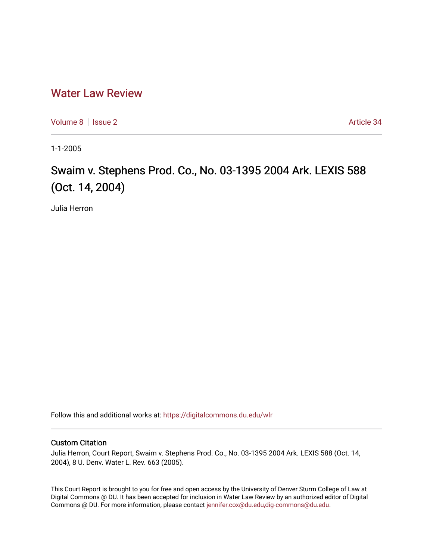# [Water Law Review](https://digitalcommons.du.edu/wlr)

[Volume 8](https://digitalcommons.du.edu/wlr/vol8) | [Issue 2](https://digitalcommons.du.edu/wlr/vol8/iss2) Article 34

1-1-2005

# Swaim v. Stephens Prod. Co., No. 03-1395 2004 Ark. LEXIS 588 (Oct. 14, 2004)

Julia Herron

Follow this and additional works at: [https://digitalcommons.du.edu/wlr](https://digitalcommons.du.edu/wlr?utm_source=digitalcommons.du.edu%2Fwlr%2Fvol8%2Fiss2%2F34&utm_medium=PDF&utm_campaign=PDFCoverPages) 

## Custom Citation

Julia Herron, Court Report, Swaim v. Stephens Prod. Co., No. 03-1395 2004 Ark. LEXIS 588 (Oct. 14, 2004), 8 U. Denv. Water L. Rev. 663 (2005).

This Court Report is brought to you for free and open access by the University of Denver Sturm College of Law at Digital Commons @ DU. It has been accepted for inclusion in Water Law Review by an authorized editor of Digital Commons @ DU. For more information, please contact [jennifer.cox@du.edu,dig-commons@du.edu.](mailto:jennifer.cox@du.edu,dig-commons@du.edu)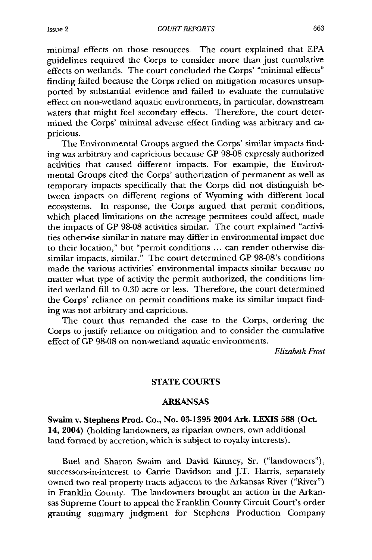**COURT REPORTS** 

minimal effects on those resources. The court explained that EPA guidelines required the Corps to consider more than just cumulative effects on wetlands. The court concluded the Corps' "minimal effects" finding failed because the Corps relied on mitigation measures unsupported by substantial evidence and failed to evaluate the cumulative effect on non-wetland aquatic environments, in particular, downstream waters that might feel secondary effects. Therefore, the court determined the Corps' minimal adverse effect finding was arbitrary and capricious.

The Environmental Groups argued the Corps' similar impacts finding was arbitrary and capricious because GP 98-08 expressly authorized activities that caused different impacts. For example, the Environmental Groups cited the Corps' authorization of permanent as well as temporary impacts specifically that the Corps did not distinguish between impacts on different regions of Wyoming with different local ecosystems. In response, the Corps argued that permit conditions, which placed limitations on the acreage permitees could affect, made the impacts of GP 98-08 activities similar. The court explained "activities otherwise similar in nature may differ in environmental impact due to their location," but "permit conditions ... can render otherwise dissimilar impacts, similar." The court determined GP 98-08's conditions made the various activities' environmental impacts similar because no matter what type of activity the permit authorized, the conditions limited wetland fill to 0.30 acre or less. Therefore, the court determined the Corps' reliance on permit conditions make its similar impact finding was not arbitrary and capricious.

The court thus remanded the case to the Corps, ordering the Corps to justify reliance on mitigation and to consider the cumulative effect of **GP** 98-08 on non-wetland aquatic environments.

*Elizabeth Frost*

### **STATE COURTS**

#### **ARKANSAS**

**Swaim** v. Stephens Prod. **Co.,** No. **03-1395 2004 Ark. LEXIS 588** (Oct. **14, 2004)** (holding landowners, as riparian owners, own additional land formed by accretion, which is subject to royalty interests).

Buel and Sharon Swaim and David Kinney, Sr. ("landowners"), successors-in-interest to Carrie Davidson and J.T. Harris, separately owned two real property tracts adjacent to the Arkansas River ("River") in Franklin County. The landowners brought an action in the Arkansas Supreme Court to appeal the Franklin County Circuit Court's order granting summary judgment for Stephens Production Company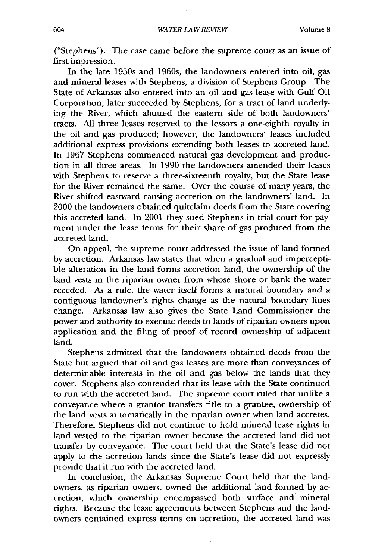("Stephens"). The case came before the supreme court as an issue of first impression.

In the late 1950s and 1960s, the landowners entered into oil, gas and mineral leases with Stephens, a division of Stephens Group. The State of Arkansas also entered into an oil and gas lease with Gulf Oil Corporation, later succeeded by Stephens, for a tract of land underlying the River, which abutted the eastern side of both landowners' tracts. All three leases reserved to the lessors a one-eighth royalty in the oil and gas produced; however, the landowners' leases included additional express provisions extending both leases to accreted land. In 1967 Stephens commenced natural gas development and production in all three areas. In 1990 the landowners amended their leases with Stephens to reserve a three-sixteenth royalty, but the State lease for the River remained the same. Over the course of many years, the River shifted eastward causing accretion on the landowners' land. In 2000 the landowners obtained quitclaim deeds from the State covering this accreted land. In 2001 they sued Stephens in trial court for payment under the lease terms for their share of gas produced from the accreted land.

On appeal, the supreme court addressed the issue of land formed by accretion. Arkansas law states that when a gradual and imperceptible alteration in the land forms accretion land, the ownership of the land vests in the riparian owner from whose shore or bank the water receded. As a rule, the water itself forms a natural boundary and a contiguous landowner's rights change as the natural boundary lines change. Arkansas law also gives the State Land Commissioner the power and authority to execute deeds to lands of riparian owners upon application and the filing of proof of record ownership of adjacent land.

Stephens admitted that the landowners obtained deeds from the State but argued that oil and gas leases are more than conveyances of determinable interests in the oil and gas below the lands that they cover. Stephens also contended that its lease with the State continued to run with the accreted land. The supreme court ruled that unlike a conveyance where a grantor transfers title to a grantee, ownership of the land vests automatically in the riparian owner when land accretes. Therefore, Stephens did not continue to hold mineral lease rights in land vested to the riparian owner because the accreted land did not transfer by conveyance. The court held that the State's lease did not apply to the accretion lands since the State's lease did not expressly provide that it run with the accreted land.

In conclusion, the Arkansas Supreme Court held that the landowners, as riparian owners, owned the additional land formed by accretion, which ownership encompassed both surface and mineral rights. Because the lease agreements between Stephens and the landowners contained express terms on accretion, the accreted land was